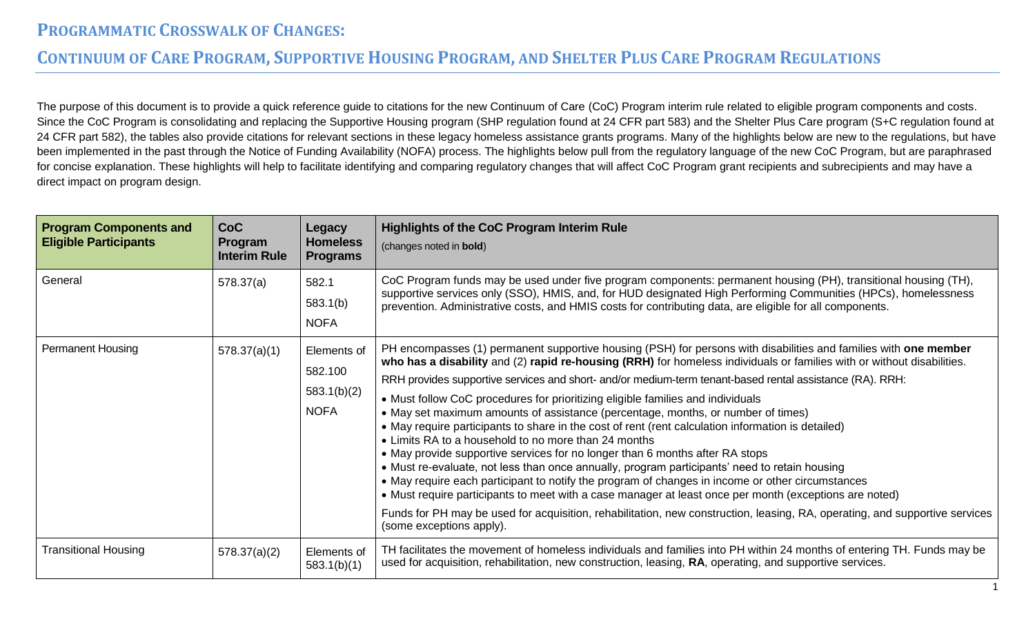#### CONTINUUM OF CARE PROGRAM, SUPPORTIVE HOUSING PROGRAM, AND SHELTER PLUS CARE PROGRAM REGULATIONS

The purpose of this document is to provide a quick reference guide to citations for the new Continuum of Care (CoC) Program interim rule related to eligible program components and costs. Since the CoC Program is consolidating and replacing the Supportive Housing program (SHP regulation found at 24 CFR part 583) and the Shelter Plus Care program (S+C regulation found at 24 CFR part 582), the tables also provide citations for relevant sections in these legacy homeless assistance grants programs. Many of the highlights below are new to the regulations, but have been implemented in the past through the Notice of Funding Availability (NOFA) process. The highlights below pull from the regulatory language of the new CoC Program, but are paraphrased for concise explanation. These highlights will help to facilitate identifying and comparing regulatory changes that will affect CoC Program grant recipients and subrecipients and may have a direct impact on program design.

| <b>Program Components and</b><br><b>Eligible Participants</b> | CoC<br>Program<br><b>Interim Rule</b> | Legacy<br><b>Homeless</b><br><b>Programs</b>         | <b>Highlights of the CoC Program Interim Rule</b><br>(changes noted in bold)                                                                                                                                                                                                                                                                                                                                                                                                                                                                                                                                                                                                                                                                                                                                                                                                                                                                                                                                                                                                                                                                                                                                                                          |
|---------------------------------------------------------------|---------------------------------------|------------------------------------------------------|-------------------------------------------------------------------------------------------------------------------------------------------------------------------------------------------------------------------------------------------------------------------------------------------------------------------------------------------------------------------------------------------------------------------------------------------------------------------------------------------------------------------------------------------------------------------------------------------------------------------------------------------------------------------------------------------------------------------------------------------------------------------------------------------------------------------------------------------------------------------------------------------------------------------------------------------------------------------------------------------------------------------------------------------------------------------------------------------------------------------------------------------------------------------------------------------------------------------------------------------------------|
| General                                                       | 578.37(a)                             | 582.1<br>583.1(b)<br><b>NOFA</b>                     | CoC Program funds may be used under five program components: permanent housing (PH), transitional housing (TH),<br>supportive services only (SSO), HMIS, and, for HUD designated High Performing Communities (HPCs), homelessness<br>prevention. Administrative costs, and HMIS costs for contributing data, are eligible for all components.                                                                                                                                                                                                                                                                                                                                                                                                                                                                                                                                                                                                                                                                                                                                                                                                                                                                                                         |
| <b>Permanent Housing</b>                                      | 578.37(a)(1)                          | Elements of<br>582.100<br>583.1(b)(2)<br><b>NOFA</b> | PH encompasses (1) permanent supportive housing (PSH) for persons with disabilities and families with one member<br>who has a disability and (2) rapid re-housing (RRH) for homeless individuals or families with or without disabilities.<br>RRH provides supportive services and short- and/or medium-term tenant-based rental assistance (RA). RRH:<br>• Must follow CoC procedures for prioritizing eligible families and individuals<br>• May set maximum amounts of assistance (percentage, months, or number of times)<br>• May require participants to share in the cost of rent (rent calculation information is detailed)<br>• Limits RA to a household to no more than 24 months<br>• May provide supportive services for no longer than 6 months after RA stops<br>• Must re-evaluate, not less than once annually, program participants' need to retain housing<br>• May require each participant to notify the program of changes in income or other circumstances<br>• Must require participants to meet with a case manager at least once per month (exceptions are noted)<br>Funds for PH may be used for acquisition, rehabilitation, new construction, leasing, RA, operating, and supportive services<br>(some exceptions apply). |
| <b>Transitional Housing</b>                                   | 578.37(a)(2)                          | Elements of<br>583.1(b)(1)                           | TH facilitates the movement of homeless individuals and families into PH within 24 months of entering TH. Funds may be<br>used for acquisition, rehabilitation, new construction, leasing, RA, operating, and supportive services.                                                                                                                                                                                                                                                                                                                                                                                                                                                                                                                                                                                                                                                                                                                                                                                                                                                                                                                                                                                                                    |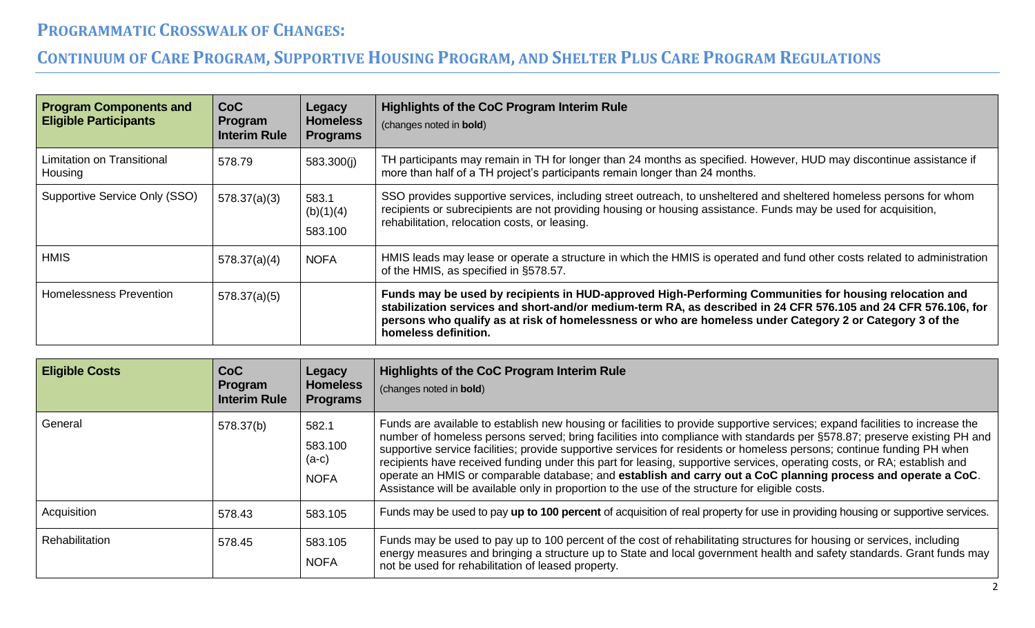| <b>Program Components and</b><br><b>Eligible Participants</b> | <b>CoC</b><br>Program<br><b>Interim Rule</b> | Legacy<br><b>Homeless</b><br><b>Programs</b> | Highlights of the CoC Program Interim Rule<br>(changes noted in bold)                                                                                                                                                                                                                                                                                        |
|---------------------------------------------------------------|----------------------------------------------|----------------------------------------------|--------------------------------------------------------------------------------------------------------------------------------------------------------------------------------------------------------------------------------------------------------------------------------------------------------------------------------------------------------------|
| Limitation on Transitional<br>Housing                         | 578.79                                       | 583.300(i)                                   | TH participants may remain in TH for longer than 24 months as specified. However, HUD may discontinue assistance if<br>more than half of a TH project's participants remain longer than 24 months.                                                                                                                                                           |
| Supportive Service Only (SSO)                                 | 578.37(a)(3)                                 | 583.1<br>(b)(1)(4)<br>583.100                | SSO provides supportive services, including street outreach, to unsheltered and sheltered homeless persons for whom<br>recipients or subrecipients are not providing housing or housing assistance. Funds may be used for acquisition,<br>rehabilitation, relocation costs, or leasing.                                                                      |
| <b>HMIS</b>                                                   | 578.37(a)(4)                                 | <b>NOFA</b>                                  | HMIS leads may lease or operate a structure in which the HMIS is operated and fund other costs related to administration<br>of the HMIS, as specified in §578.57.                                                                                                                                                                                            |
| Homelessness Prevention                                       | 578.37(a)(5)                                 |                                              | Funds may be used by recipients in HUD-approved High-Performing Communities for housing relocation and<br>stabilization services and short-and/or medium-term RA, as described in 24 CFR 576.105 and 24 CFR 576.106, for<br>persons who qualify as at risk of homelessness or who are homeless under Category 2 or Category 3 of the<br>homeless definition. |

| <b>Eligible Costs</b> | CoC<br>Program<br><b>Interim Rule</b> | Legacy<br><b>Homeless</b><br><b>Programs</b> | <b>Highlights of the CoC Program Interim Rule</b><br>(changes noted in bold)                                                                                                                                                                                                                                                                                                                                                                                                                                                                                                                                                                                                                                                       |
|-----------------------|---------------------------------------|----------------------------------------------|------------------------------------------------------------------------------------------------------------------------------------------------------------------------------------------------------------------------------------------------------------------------------------------------------------------------------------------------------------------------------------------------------------------------------------------------------------------------------------------------------------------------------------------------------------------------------------------------------------------------------------------------------------------------------------------------------------------------------------|
| General               | 578.37(b)                             | 582.1<br>583.100<br>(a-c)<br><b>NOFA</b>     | Funds are available to establish new housing or facilities to provide supportive services; expand facilities to increase the<br>number of homeless persons served; bring facilities into compliance with standards per §578.87; preserve existing PH and<br>supportive service facilities; provide supportive services for residents or homeless persons; continue funding PH when<br>recipients have received funding under this part for leasing, supportive services, operating costs, or RA; establish and<br>operate an HMIS or comparable database; and establish and carry out a CoC planning process and operate a CoC.<br>Assistance will be available only in proportion to the use of the structure for eligible costs. |
| Acquisition           | 578.43                                | 583.105                                      | Funds may be used to pay up to 100 percent of acquisition of real property for use in providing housing or supportive services.                                                                                                                                                                                                                                                                                                                                                                                                                                                                                                                                                                                                    |
| Rehabilitation        | 578.45                                | 583.105<br><b>NOFA</b>                       | Funds may be used to pay up to 100 percent of the cost of rehabilitating structures for housing or services, including<br>energy measures and bringing a structure up to State and local government health and safety standards. Grant funds may<br>not be used for rehabilitation of leased property.                                                                                                                                                                                                                                                                                                                                                                                                                             |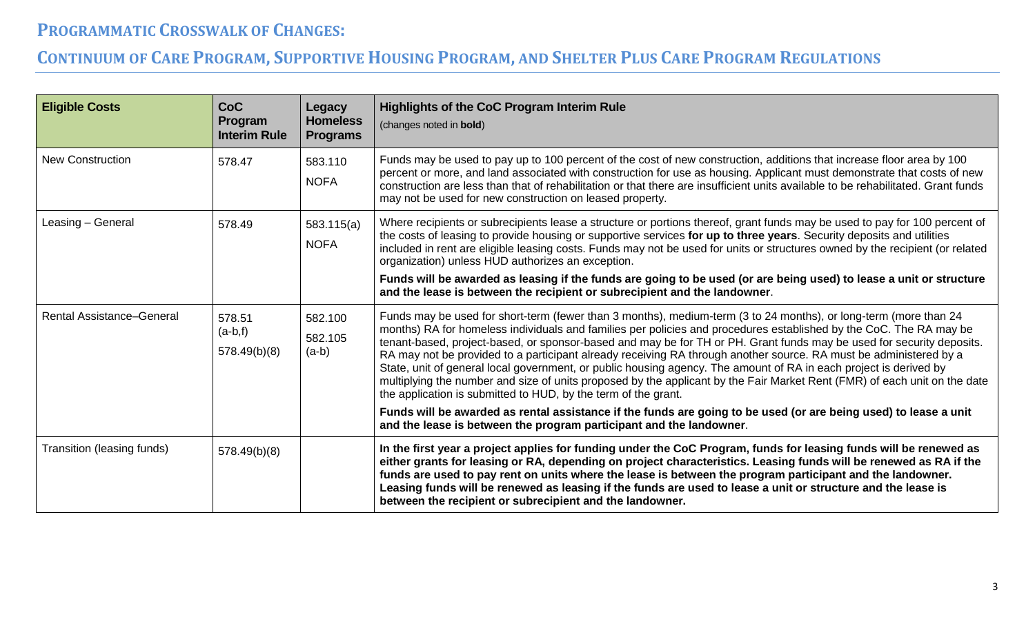| <b>Eligible Costs</b>            | <b>CoC</b><br>Program<br><b>Interim Rule</b> | <b>Legacy</b><br><b>Homeless</b><br><b>Programs</b> | <b>Highlights of the CoC Program Interim Rule</b><br>(changes noted in bold)                                                                                                                                                                                                                                                                                                                                                                                                                                                                                                                                                                                                                                                                                                                             |
|----------------------------------|----------------------------------------------|-----------------------------------------------------|----------------------------------------------------------------------------------------------------------------------------------------------------------------------------------------------------------------------------------------------------------------------------------------------------------------------------------------------------------------------------------------------------------------------------------------------------------------------------------------------------------------------------------------------------------------------------------------------------------------------------------------------------------------------------------------------------------------------------------------------------------------------------------------------------------|
| <b>New Construction</b>          | 578.47                                       | 583.110<br><b>NOFA</b>                              | Funds may be used to pay up to 100 percent of the cost of new construction, additions that increase floor area by 100<br>percent or more, and land associated with construction for use as housing. Applicant must demonstrate that costs of new<br>construction are less than that of rehabilitation or that there are insufficient units available to be rehabilitated. Grant funds<br>may not be used for new construction on leased property.                                                                                                                                                                                                                                                                                                                                                        |
| Leasing - General                | 578.49                                       | 583.115(a)<br><b>NOFA</b>                           | Where recipients or subrecipients lease a structure or portions thereof, grant funds may be used to pay for 100 percent of<br>the costs of leasing to provide housing or supportive services for up to three years. Security deposits and utilities<br>included in rent are eligible leasing costs. Funds may not be used for units or structures owned by the recipient (or related<br>organization) unless HUD authorizes an exception.<br>Funds will be awarded as leasing if the funds are going to be used (or are being used) to lease a unit or structure<br>and the lease is between the recipient or subrecipient and the landowner.                                                                                                                                                            |
| <b>Rental Assistance-General</b> | 578.51<br>$(a-b,f)$<br>578.49(b)(8)          | 582.100<br>582.105<br>$(a-b)$                       | Funds may be used for short-term (fewer than 3 months), medium-term (3 to 24 months), or long-term (more than 24<br>months) RA for homeless individuals and families per policies and procedures established by the CoC. The RA may be<br>tenant-based, project-based, or sponsor-based and may be for TH or PH. Grant funds may be used for security deposits.<br>RA may not be provided to a participant already receiving RA through another source. RA must be administered by a<br>State, unit of general local government, or public housing agency. The amount of RA in each project is derived by<br>multiplying the number and size of units proposed by the applicant by the Fair Market Rent (FMR) of each unit on the date<br>the application is submitted to HUD, by the term of the grant. |
|                                  |                                              |                                                     | Funds will be awarded as rental assistance if the funds are going to be used (or are being used) to lease a unit<br>and the lease is between the program participant and the landowner.                                                                                                                                                                                                                                                                                                                                                                                                                                                                                                                                                                                                                  |
| Transition (leasing funds)       | 578.49(b)(8)                                 |                                                     | In the first year a project applies for funding under the CoC Program, funds for leasing funds will be renewed as<br>either grants for leasing or RA, depending on project characteristics. Leasing funds will be renewed as RA if the<br>funds are used to pay rent on units where the lease is between the program participant and the landowner.<br>Leasing funds will be renewed as leasing if the funds are used to lease a unit or structure and the lease is<br>between the recipient or subrecipient and the landowner.                                                                                                                                                                                                                                                                          |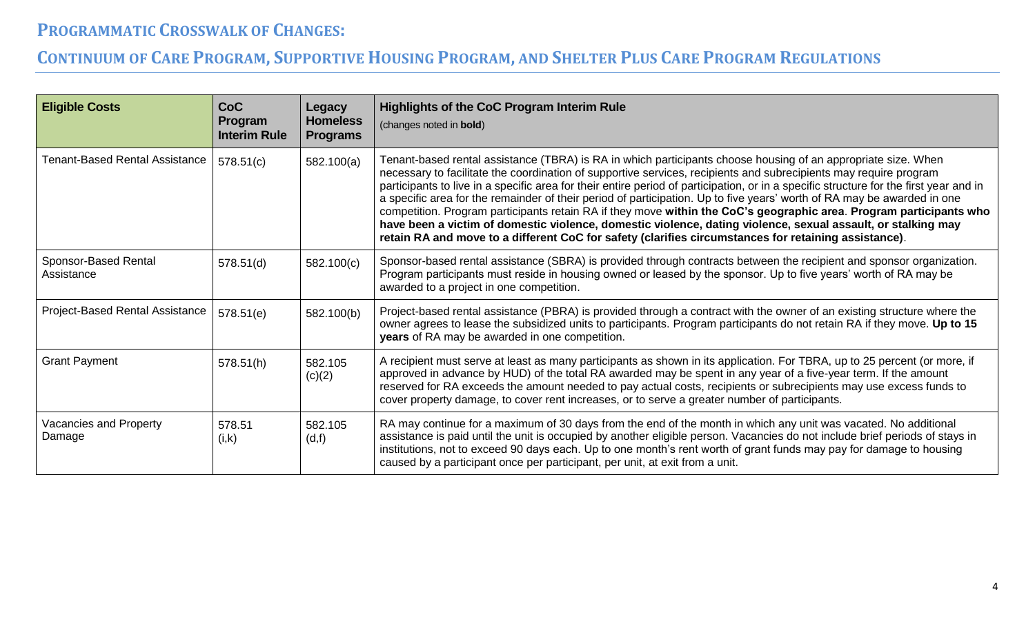| <b>Eligible Costs</b>              | <b>CoC</b><br>Program<br><b>Interim Rule</b> | <b>Legacy</b><br><b>Homeless</b><br><b>Programs</b> | Highlights of the CoC Program Interim Rule<br>(changes noted in bold)                                                                                                                                                                                                                                                                                                                                                                                                                                                                                                                                                                                                                                                                                                                                                                                  |
|------------------------------------|----------------------------------------------|-----------------------------------------------------|--------------------------------------------------------------------------------------------------------------------------------------------------------------------------------------------------------------------------------------------------------------------------------------------------------------------------------------------------------------------------------------------------------------------------------------------------------------------------------------------------------------------------------------------------------------------------------------------------------------------------------------------------------------------------------------------------------------------------------------------------------------------------------------------------------------------------------------------------------|
| Tenant-Based Rental Assistance     | 578.51(c)                                    | 582.100(a)                                          | Tenant-based rental assistance (TBRA) is RA in which participants choose housing of an appropriate size. When<br>necessary to facilitate the coordination of supportive services, recipients and subrecipients may require program<br>participants to live in a specific area for their entire period of participation, or in a specific structure for the first year and in<br>a specific area for the remainder of their period of participation. Up to five years' worth of RA may be awarded in one<br>competition. Program participants retain RA if they move within the CoC's geographic area. Program participants who<br>have been a victim of domestic violence, domestic violence, dating violence, sexual assault, or stalking may<br>retain RA and move to a different CoC for safety (clarifies circumstances for retaining assistance). |
| Sponsor-Based Rental<br>Assistance | 578.51(d)                                    | 582.100(c)                                          | Sponsor-based rental assistance (SBRA) is provided through contracts between the recipient and sponsor organization.<br>Program participants must reside in housing owned or leased by the sponsor. Up to five years' worth of RA may be<br>awarded to a project in one competition.                                                                                                                                                                                                                                                                                                                                                                                                                                                                                                                                                                   |
| Project-Based Rental Assistance    | 578.51(e)                                    | 582.100(b)                                          | Project-based rental assistance (PBRA) is provided through a contract with the owner of an existing structure where the<br>owner agrees to lease the subsidized units to participants. Program participants do not retain RA if they move. Up to 15<br>years of RA may be awarded in one competition.                                                                                                                                                                                                                                                                                                                                                                                                                                                                                                                                                  |
| <b>Grant Payment</b>               | 578.51(h)                                    | 582.105<br>(c)(2)                                   | A recipient must serve at least as many participants as shown in its application. For TBRA, up to 25 percent (or more, if<br>approved in advance by HUD) of the total RA awarded may be spent in any year of a five-year term. If the amount<br>reserved for RA exceeds the amount needed to pay actual costs, recipients or subrecipients may use excess funds to<br>cover property damage, to cover rent increases, or to serve a greater number of participants.                                                                                                                                                                                                                                                                                                                                                                                    |
| Vacancies and Property<br>Damage   | 578.51<br>(i,k)                              | 582.105<br>(d,f)                                    | RA may continue for a maximum of 30 days from the end of the month in which any unit was vacated. No additional<br>assistance is paid until the unit is occupied by another eligible person. Vacancies do not include brief periods of stays in<br>institutions, not to exceed 90 days each. Up to one month's rent worth of grant funds may pay for damage to housing<br>caused by a participant once per participant, per unit, at exit from a unit.                                                                                                                                                                                                                                                                                                                                                                                                 |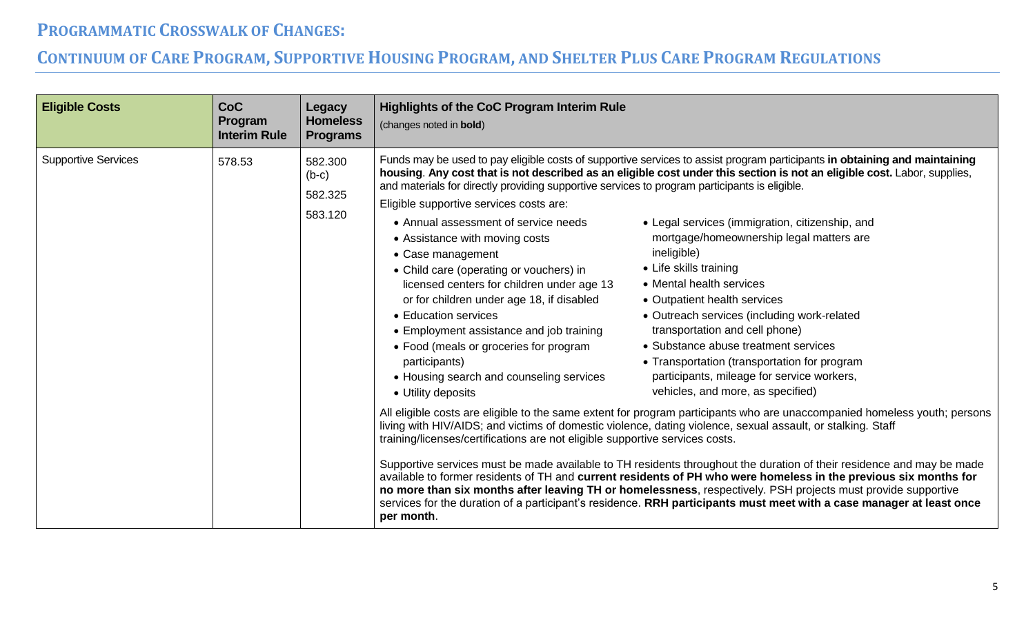| <b>Eligible Costs</b>      | <b>CoC</b><br>Program<br><b>Interim Rule</b> | Legacy<br><b>Homeless</b><br><b>Programs</b> | <b>Highlights of the CoC Program Interim Rule</b><br>(changes noted in bold)                                                                                                                                                                                                                                                                                                                                                                                                                                                                                                                                                                                                                                                                                                                |                                                                                                                                                                                                                                                                                                                                                                                                                                                                                                                                                                                                                                                                                                                                                                                                                                                                                                                                                                                                                                                                                                                                                                                                                                                                                                                                          |
|----------------------------|----------------------------------------------|----------------------------------------------|---------------------------------------------------------------------------------------------------------------------------------------------------------------------------------------------------------------------------------------------------------------------------------------------------------------------------------------------------------------------------------------------------------------------------------------------------------------------------------------------------------------------------------------------------------------------------------------------------------------------------------------------------------------------------------------------------------------------------------------------------------------------------------------------|------------------------------------------------------------------------------------------------------------------------------------------------------------------------------------------------------------------------------------------------------------------------------------------------------------------------------------------------------------------------------------------------------------------------------------------------------------------------------------------------------------------------------------------------------------------------------------------------------------------------------------------------------------------------------------------------------------------------------------------------------------------------------------------------------------------------------------------------------------------------------------------------------------------------------------------------------------------------------------------------------------------------------------------------------------------------------------------------------------------------------------------------------------------------------------------------------------------------------------------------------------------------------------------------------------------------------------------|
| <b>Supportive Services</b> | 578.53                                       | 582.300<br>$(b-c)$<br>582.325<br>583.120     | and materials for directly providing supportive services to program participants is eligible.<br>Eligible supportive services costs are:<br>• Annual assessment of service needs<br>• Assistance with moving costs<br>• Case management<br>• Child care (operating or vouchers) in<br>licensed centers for children under age 13<br>or for children under age 18, if disabled<br>• Education services<br>• Employment assistance and job training<br>• Food (meals or groceries for program<br>participants)<br>• Housing search and counseling services<br>• Utility deposits<br>living with HIV/AIDS; and victims of domestic violence, dating violence, sexual assault, or stalking. Staff<br>training/licenses/certifications are not eligible supportive services costs.<br>per month. | Funds may be used to pay eligible costs of supportive services to assist program participants in obtaining and maintaining<br>housing. Any cost that is not described as an eligible cost under this section is not an eligible cost. Labor, supplies,<br>• Legal services (immigration, citizenship, and<br>mortgage/homeownership legal matters are<br>ineligible)<br>• Life skills training<br>• Mental health services<br>• Outpatient health services<br>• Outreach services (including work-related<br>transportation and cell phone)<br>• Substance abuse treatment services<br>• Transportation (transportation for program<br>participants, mileage for service workers,<br>vehicles, and more, as specified)<br>All eligible costs are eligible to the same extent for program participants who are unaccompanied homeless youth; persons<br>Supportive services must be made available to TH residents throughout the duration of their residence and may be made<br>available to former residents of TH and current residents of PH who were homeless in the previous six months for<br>no more than six months after leaving TH or homelessness, respectively. PSH projects must provide supportive<br>services for the duration of a participant's residence. RRH participants must meet with a case manager at least once |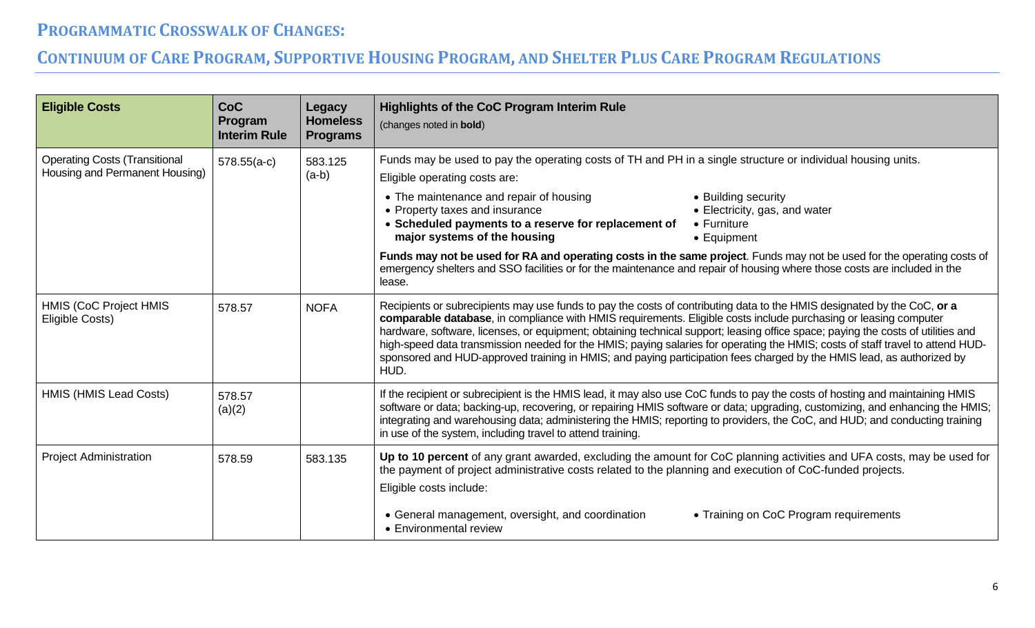| <b>Eligible Costs</b>                                                  | <b>CoC</b><br>Program<br><b>Interim Rule</b> | Legacy<br><b>Homeless</b><br><b>Programs</b> | <b>Highlights of the CoC Program Interim Rule</b><br>(changes noted in bold)                                                                                                                                                                                                                                                                                                                                                                                                                                                                                                                                                                       |
|------------------------------------------------------------------------|----------------------------------------------|----------------------------------------------|----------------------------------------------------------------------------------------------------------------------------------------------------------------------------------------------------------------------------------------------------------------------------------------------------------------------------------------------------------------------------------------------------------------------------------------------------------------------------------------------------------------------------------------------------------------------------------------------------------------------------------------------------|
| <b>Operating Costs (Transitional</b><br>Housing and Permanent Housing) | $578.55(a-c)$                                | 583.125<br>$(a-b)$                           | Funds may be used to pay the operating costs of TH and PH in a single structure or individual housing units.<br>Eligible operating costs are:                                                                                                                                                                                                                                                                                                                                                                                                                                                                                                      |
|                                                                        |                                              |                                              | • The maintenance and repair of housing<br>• Building security<br>• Property taxes and insurance<br>• Electricity, gas, and water<br>• Scheduled payments to a reserve for replacement of<br>$\bullet$ Furniture<br>major systems of the housing<br>• Equipment                                                                                                                                                                                                                                                                                                                                                                                    |
|                                                                        |                                              |                                              | Funds may not be used for RA and operating costs in the same project. Funds may not be used for the operating costs of<br>emergency shelters and SSO facilities or for the maintenance and repair of housing where those costs are included in the<br>lease.                                                                                                                                                                                                                                                                                                                                                                                       |
| HMIS (CoC Project HMIS<br>Eligible Costs)                              | 578.57                                       | <b>NOFA</b>                                  | Recipients or subrecipients may use funds to pay the costs of contributing data to the HMIS designated by the CoC, or a<br>comparable database, in compliance with HMIS requirements. Eligible costs include purchasing or leasing computer<br>hardware, software, licenses, or equipment; obtaining technical support; leasing office space; paying the costs of utilities and<br>high-speed data transmission needed for the HMIS; paying salaries for operating the HMIS; costs of staff travel to attend HUD-<br>sponsored and HUD-approved training in HMIS; and paying participation fees charged by the HMIS lead, as authorized by<br>HUD. |
| HMIS (HMIS Lead Costs)                                                 | 578.57<br>(a)(2)                             |                                              | If the recipient or subrecipient is the HMIS lead, it may also use CoC funds to pay the costs of hosting and maintaining HMIS<br>software or data; backing-up, recovering, or repairing HMIS software or data; upgrading, customizing, and enhancing the HMIS;<br>integrating and warehousing data; administering the HMIS; reporting to providers, the CoC, and HUD; and conducting training<br>in use of the system, including travel to attend training.                                                                                                                                                                                        |
| <b>Project Administration</b>                                          | 578.59                                       | 583.135                                      | Up to 10 percent of any grant awarded, excluding the amount for CoC planning activities and UFA costs, may be used for<br>the payment of project administrative costs related to the planning and execution of CoC-funded projects.<br>Eligible costs include:<br>• General management, oversight, and coordination<br>• Training on CoC Program requirements<br>• Environmental review                                                                                                                                                                                                                                                            |